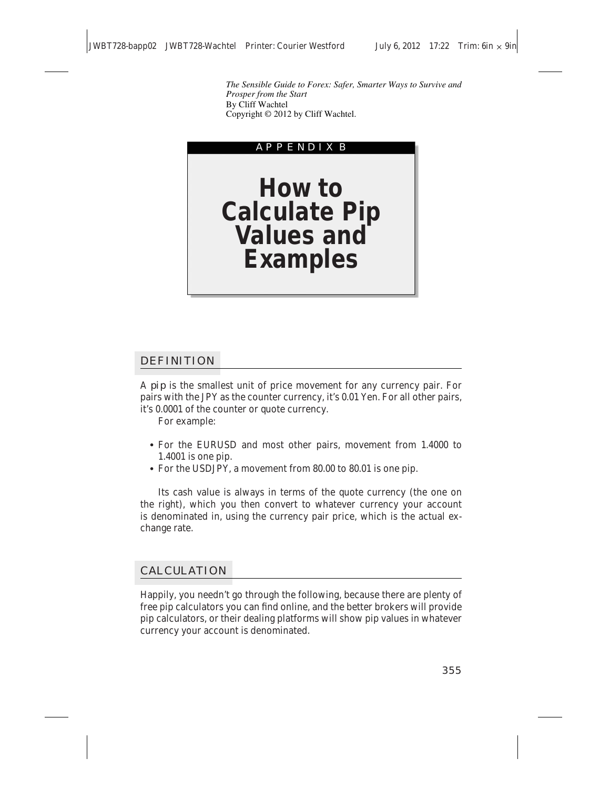*The Sensible Guide to Forex: Safer, Smarter Ways to Survive and Prosper from the Start*  By Cliff Wachtel Copyright © 2012 by Cliff Wachtel.



## DEFINITION

A *pip* is the smallest unit of price movement for any currency pair. For pairs with the JPY as the counter currency, it's 0.01 Yen. For all other pairs, it's 0.0001 of the counter or quote currency.

For example:

- For the EURUSD and most other pairs, movement from 1.4000 to 1.4001 is one pip.
- For the USDJPY, a movement from 80.00 to 80.01 is one pip.

Its cash value is always in terms of the quote currency (the one on the right), which you then convert to whatever currency your account is denominated in, using the currency pair price, which is the actual exchange rate.

## CALCULATION

Happily, you needn't go through the following, because there are plenty of free pip calculators you can find online, and the better brokers will provide pip calculators, or their dealing platforms will show pip values in whatever currency your account is denominated.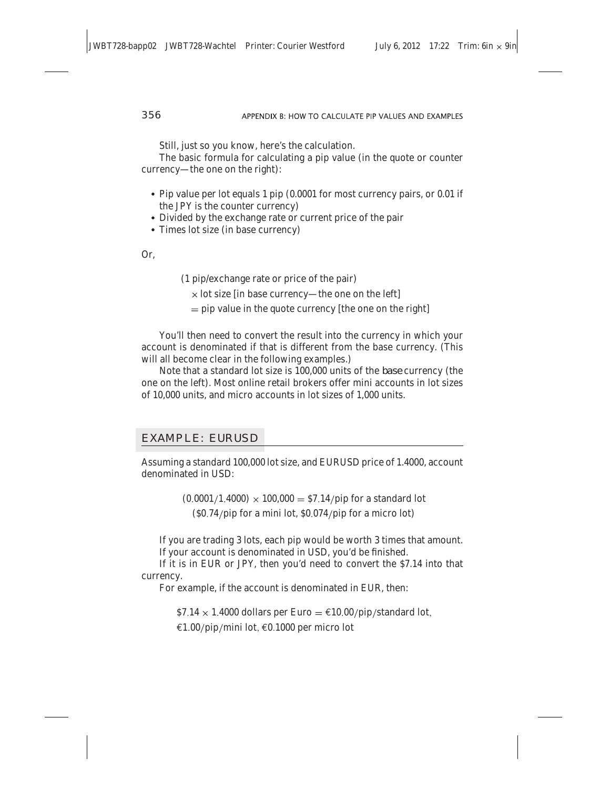Still, just so you know, here's the calculation.

The basic formula for calculating a pip value (in the quote or counter currency—the one on the right):

- Pip value per lot equals 1 pip (0.0001 for most currency pairs, or 0.01 if the JPY is the counter currency)
- Divided by the exchange rate or current price of the pair
- Times lot size (in base currency)

Or,

- (1 pip/exchange rate or price of the pair)
	- $\times$  lot size [in base currency—the one on the left]
	- $=$  pip value in the quote currency [the one on the right]

You'll then need to convert the result into the currency in which your account is denominated if that is different from the base currency. (This will all become clear in the following examples.)

Note that a standard lot size is 100,000 units of the *base* currency (the one on the left). Most online retail brokers offer mini accounts in lot sizes of 10,000 units, and micro accounts in lot sizes of 1,000 units.

# EXAMPLE: EURUSD

Assuming a standard 100,000 lot size, and EURUSD price of 1.4000, account denominated in USD:

> $(0.0001/1.4000) \times 100,000 = $7.14$  pip for a standard lot  $(S0.74$ /pip for a mini lot,  $S0.074$ /pip for a micro lot)

If you are trading 3 lots, each pip would be worth 3 times that amount. If your account is denominated in USD, you'd be finished.

If it is in EUR or JPY, then you'd need to convert the \$7.14 into that currency.

For example, if the account is denominated in EUR, then:

 $$7.14 \times 1.4000$  dollars per Euro =  $$10.00$ /pip/standard lot.

 $€1.00$ /pip/mini lot,  $€0.1000$  per micro lot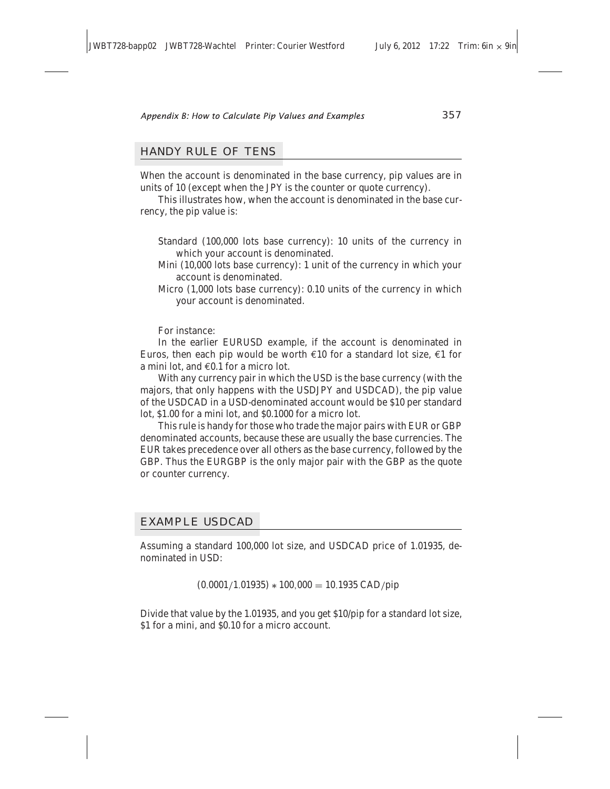### HANDY RULE OF TENS

When the account is denominated in the base currency, pip values are in units of 10 (except when the JPY is the counter or quote currency).

This illustrates how, when the account is denominated in the base currency, the pip value is:

- Standard (100,000 lots base currency): 10 units of the currency in which your account is denominated.
- Mini (10,000 lots base currency): 1 unit of the currency in which your account is denominated.
- Micro (1,000 lots base currency): 0.10 units of the currency in which your account is denominated.

For instance:

In the earlier EURUSD example, if the account is denominated in Euros, then each pip would be worth  $\epsilon$ 10 for a standard lot size,  $\epsilon$ 1 for a mini lot, and €0.1 for a micro lot.

With any currency pair in which the USD is the base currency (with the majors, that only happens with the USDJPY and USDCAD), the pip value of the USDCAD in a USD-denominated account would be \$10 per standard lot, \$1.00 for a mini lot, and \$0.1000 for a micro lot.

This rule is handy for those who trade the major pairs with EUR or GBP denominated accounts, because these are usually the base currencies. The EUR takes precedence over all others as the base currency, followed by the GBP. Thus the EURGBP is the only major pair with the GBP as the quote or counter currency.

#### EXAMPLE USDCAD

Assuming a standard 100,000 lot size, and USDCAD price of 1.01935, denominated in USD:

 $(0.0001/1.01935) * 100,000 = 10.1935 \text{ CAD }$ 

Divide that value by the 1.01935, and you get \$10/pip for a standard lot size, \$1 for a mini, and \$0.10 for a micro account.